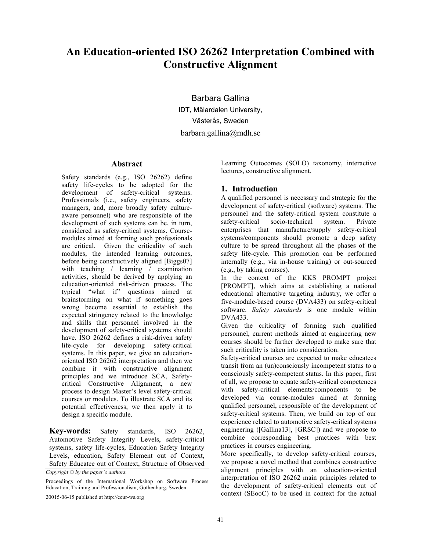# **An Education-oriented ISO 26262 Interpretation Combined with Constructive Alignment**

Barbara Gallina IDT, Mälardalen University, Västerås, Sweden barbara.gallina@mdh.se

#### **Abstract**

Safety standards (e.g., ISO 26262) define safety life-cycles to be adopted for the development of safety-critical systems. Professionals (i.e., safety engineers, safety managers, and, more broadly safety cultureaware personnel) who are responsible of the development of such systems can be, in turn, considered as safety-critical systems. Coursemodules aimed at forming such professionals are critical. Given the criticality of such modules, the intended learning outcomes, before being constructively aligned [Biggs07] with teaching / learning / examination activities, should be derived by applying an education-oriented risk-driven process. The typical "what if" questions aimed at brainstorming on what if something goes wrong become essential to establish the expected stringency related to the knowledge and skills that personnel involved in the development of safety-critical systems should have. ISO 26262 defines a risk-driven safety life-cycle for developing safety-critical systems. In this paper, we give an educationoriented ISO 26262 interpretation and then we combine it with constructive alignment principles and we introduce SCA, Safetycritical Constructive Alignment, a new process to design Master's level safety-critical courses or modules. To illustrate SCA and its potential effectiveness, we then apply it to design a specific module.

**Key-words:** Safety standards, ISO 26262, Automotive Safety Integrity Levels, safety-critical systems, safety life-cycles, Education Safety Integrity Levels, education, Safety Element out of Context, Safety Educatee out of Context, Structure of Observed

*Copyright © by the paper's authors.* 

Proceedings of the International Workshop on Software Process Education, Training and Professionalism, Gothenburg, Sweden

20015-06-15 published at http://ceur-ws.org

Learning Outocomes (SOLO) taxonomy, interactive lectures, constructive alignment.

## **1. Introduction**

A qualified personnel is necessary and strategic for the development of safety-critical (software) systems. The personnel and the safety-critical system constitute a safety-critical socio-technical system. Private enterprises that manufacture/supply safety-critical systems/components should promote a deep safety culture to be spread throughout all the phases of the safety life-cycle. This promotion can be performed internally (e.g., via in-house training) or out-sourced (e.g., by taking courses).

In the context of the KKS PROMPT project [PROMPT], which aims at establishing a national educational alternative targeting industry, we offer a five-module-based course (DVA433) on safety-critical software. *Safety standards* is one module within DVA433.

Given the criticality of forming such qualified personnel, current methods aimed at engineering new courses should be further developed to make sure that such criticality is taken into consideration.

Safety-critical courses are expected to make educatees transit from an (un)consciously incompetent status to a consciously safety-competent status. In this paper, first of all, we propose to equate safety-critical competences with safety-critical elements/components to be developed via course-modules aimed at forming qualified personnel, responsible of the development of safety-critical systems. Then, we build on top of our experience related to automotive safety-critical systems engineering ([Gallina13], [GRSC]) and we propose to combine corresponding best practices with best practices in courses engineering.

More specifically, to develop safety-critical courses, we propose a novel method that combines constructive alignment principles with an education-oriented interpretation of ISO 26262 main principles related to the development of safety-critical elements out of context (SEooC) to be used in context for the actual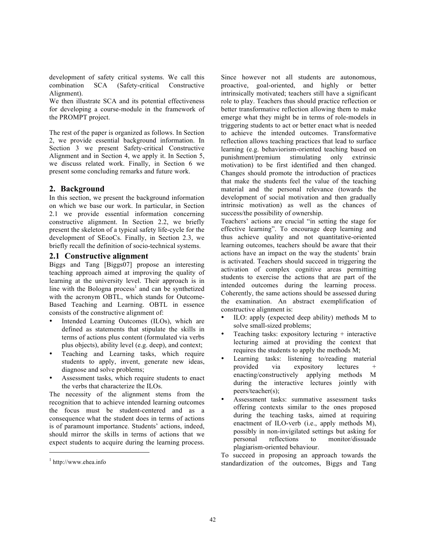development of safety critical systems. We call this combination SCA (Safety-critical Constructive Alignment).

We then illustrate SCA and its potential effectiveness for developing a course-module in the framework of the PROMPT project.

The rest of the paper is organized as follows. In Section 2, we provide essential background information. In Section 3 we present Safety-critical Constructive Alignment and in Section 4, we apply it. In Section 5, we discuss related work. Finally, in Section 6 we present some concluding remarks and future work.

## **2. Background**

In this section, we present the background information on which we base our work. In particular, in Section 2.1 we provide essential information concerning constructive alignment. In Section 2.2, we briefly present the skeleton of a typical safety life-cycle for the development of SEooCs. Finally, in Section 2.3, we briefly recall the definition of socio-technical systems.

#### **2.1 Constructive alignment**

Biggs and Tang [Biggs07] propose an interesting teaching approach aimed at improving the quality of learning at the university level. Their approach is in line with the Bologna process<sup>1</sup> and can be synthetized with the acronym OBTL, which stands for Outcome-Based Teaching and Learning. OBTL in essence consists of the constructive alignment of:

- Intended Learning Outcomes (ILOs), which are defined as statements that stipulate the skills in terms of actions plus content (formulated via verbs plus objects), ability level (e.g. deep), and context;
- Teaching and Learning tasks, which require students to apply, invent, generate new ideas, diagnose and solve problems;
- Assessment tasks, which require students to enact the verbs that characterize the ILOs.

The necessity of the alignment stems from the recognition that to achieve intended learning outcomes the focus must be student-centered and as a consequence what the student does in terms of actions is of paramount importance. Students' actions, indeed, should mirror the skills in terms of actions that we expect students to acquire during the learning process.

j

Since however not all students are autonomous, proactive, goal-oriented, and highly or better intrinsically motivated; teachers still have a significant role to play. Teachers thus should practice reflection or better transformative reflection allowing them to make emerge what they might be in terms of role-models in triggering students to act or better enact what is needed to achieve the intended outcomes. Transformative reflection allows teaching practices that lead to surface learning (e.g. behaviorism-oriented teaching based on punishment/premium stimulating only extrinsic motivation) to be first identified and then changed. Changes should promote the introduction of practices that make the students feel the value of the teaching material and the personal relevance (towards the development of social motivation and then gradually intrinsic motivation) as well as the chances of success/the possibility of ownership.

Teachers' actions are crucial "in setting the stage for effective learning". To encourage deep learning and thus achieve quality and not quantitative-oriented learning outcomes, teachers should be aware that their actions have an impact on the way the students' brain is activated. Teachers should succeed in triggering the activation of complex cognitive areas permitting students to exercise the actions that are part of the intended outcomes during the learning process. Coherently, the same actions should be assessed during the examination. An abstract exemplification of constructive alignment is:

- ILO: apply (expected deep ability) methods M to solve small-sized problems;
- Teaching tasks: expository lecturing  $+$  interactive lecturing aimed at providing the context that requires the students to apply the methods M;
- Learning tasks: listening to/reading material<br>provided via expository lectures + via expository enacting/constructively applying methods M during the interactive lectures jointly with peers/teacher(s);
- Assessment tasks: summative assessment tasks offering contexts similar to the ones proposed during the teaching tasks, aimed at requiring enactment of ILO-verb (i.e., apply methods M), possibly in non-invigilated settings but asking for personal reflections to monitor/dissuade plagiarism-oriented behaviour.

To succeed in proposing an approach towards the standardization of the outcomes, Biggs and Tang

 $1$  http://www.ehea.info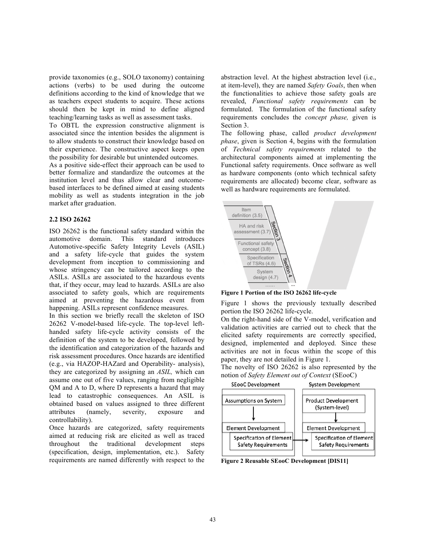provide taxonomies (e.g., SOLO taxonomy) containing actions (verbs) to be used during the outcome definitions according to the kind of knowledge that we as teachers expect students to acquire. These actions should then be kept in mind to define aligned teaching/learning tasks as well as assessment tasks.

To OBTL the expression constructive alignment is associated since the intention besides the alignment is to allow students to construct their knowledge based on their experience. The constructive aspect keeps open the possibility for desirable but unintended outcomes.

As a positive side-effect their approach can be used to better formalize and standardize the outcomes at the institution level and thus allow clear and outcomebased interfaces to be defined aimed at easing students mobility as well as students integration in the job market after graduation.

#### **2.2 ISO 26262**

ISO 26262 is the functional safety standard within the automotive domain. This standard introduces Automotive-specific Safety Integrity Levels (ASIL) and a safety life-cycle that guides the system development from inception to commissioning and whose stringency can be tailored according to the ASILs. ASILs are associated to the hazardous events that, if they occur, may lead to hazards. ASILs are also associated to safety goals, which are requirements aimed at preventing the hazardous event from happening. ASILs represent confidence measures.

In this section we briefly recall the skeleton of ISO 26262 V-model-based life-cycle. The top-level lefthanded safety life-cycle activity consists of the definition of the system to be developed, followed by the identification and categorization of the hazards and risk assessment procedures. Once hazards are identified (e.g., via HAZOP-HAZard and Operability- analysis), they are categorized by assigning an *ASIL,* which can assume one out of five values, ranging from negligible QM and A to D, where D represents a hazard that may lead to catastrophic consequences. An ASIL is obtained based on values assigned to three different attributes (namely, severity, exposure and controllability).

Once hazards are categorized, safety requirements aimed at reducing risk are elicited as well as traced throughout the traditional development steps (specification, design, implementation, etc.). Safety requirements are named differently with respect to the

abstraction level. At the highest abstraction level (i.e., at item-level), they are named *Safety Goals*, then when the functionalities to achieve those safety goals are revealed, *Functional safety requirements* can be formulated. The formulation of the functional safety requirements concludes the *concept phase,* given is Section 3.

The following phase, called *product development phase*, given is Section 4, begins with the formulation of *Technical safety requirements* related to the architectural components aimed at implementing the Functional safety requirements. Once software as well as hardware components (onto which technical safety requirements are allocated) become clear, software as well as hardware requirements are formulated.



**Figure 1 Portion of the ISO 26262 life-cycle**

Figure 1 shows the previously textually described portion the ISO 26262 life-cycle.

On the right-hand side of the V-model, verification and validation activities are carried out to check that the elicited safety requirements are correctly specified, designed, implemented and deployed. Since these activities are not in focus within the scope of this paper, they are not detailed in Figure 1.

The novelty of ISO 26262 is also represented by the notion of *Safety Element out of Context* (SEooC)

System Development



**Figure 2 Reusable SEooC Development [DIS11]**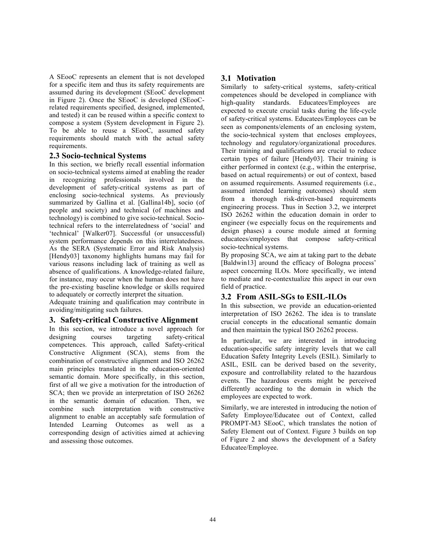A SEooC represents an element that is not developed for a specific item and thus its safety requirements are assumed during its development (SEooC development in Figure 2). Once the SEooC is developed (SEooCrelated requirements specified, designed, implemented, and tested) it can be reused within a specific context to compose a system (System development in Figure 2). To be able to reuse a SEooC, assumed safety requirements should match with the actual safety requirements.

#### **2.3 Socio-technical Systems**

In this section, we briefly recall essential information on socio-technical systems aimed at enabling the reader in recognizing professionals involved in the development of safety-critical systems as part of enclosing socio-technical systems. As previously summarized by Gallina et al. [Gallina14b], socio (of people and society) and technical (of machines and technology) is combined to give socio-technical. Sociotechnical refers to the interrelatedness of 'social' and 'technical' [Walker07]. Successful (or unsuccessful) system performance depends on this interrelatedness. As the SERA (Systematic Error and Risk Analysis) [Hendy03] taxonomy highlights humans may fail for various reasons including lack of training as well as absence of qualifications. A knowledge-related failure, for instance, may occur when the human does not have the pre-existing baseline knowledge or skills required to adequately or correctly interpret the situation.

Adequate training and qualification may contribute in avoiding/mitigating such failures.

#### **3. Safety-critical Constructive Alignment**

In this section, we introduce a novel approach for designing courses targeting safety-critical competences. This approach, called Safety-critical Constructive Alignment (SCA), stems from the combination of constructive alignment and ISO 26262 main principles translated in the education-oriented semantic domain. More specifically, in this section, first of all we give a motivation for the introduction of SCA; then we provide an interpretation of ISO 26262 in the semantic domain of education. Then, we combine such interpretation with constructive alignment to enable an acceptably safe formulation of Intended Learning Outcomes as well as a corresponding design of activities aimed at achieving and assessing those outcomes.

#### **3.1 Motivation**

Similarly to safety-critical systems, safety-critical competences should be developed in compliance with high-quality standards. Educatees/Employees are expected to execute crucial tasks during the life-cycle of safety-critical systems. Educatees/Employees can be seen as components/elements of an enclosing system, the socio-technical system that encloses employees, technology and regulatory/organizational procedures. Their training and qualifications are crucial to reduce certain types of failure [Hendy03]. Their training is either performed in context (e.g., within the enterprise, based on actual requirements) or out of context, based on assumed requirements. Assumed requirements (i.e., assumed intended learning outcomes) should stem from a thorough risk-driven-based requirements engineering process. Thus in Section 3.2, we interpret ISO 26262 within the education domain in order to engineer (we especially focus on the requirements and design phases) a course module aimed at forming educatees/employees that compose safety-critical socio-technical systems.

By proposing SCA, we aim at taking part to the debate [Baldwin13] around the efficacy of Bologna process' aspect concerning ILOs. More specifically, we intend to mediate and re-contextualize this aspect in our own field of practice.

#### **3.2 From ASIL-SGs to ESIL-ILOs**

In this subsection, we provide an education-oriented interpretation of ISO 26262. The idea is to translate crucial concepts in the educational semantic domain and then maintain the typical ISO 26262 process.

In particular, we are interested in introducing education-specific safety integrity levels that we call Education Safety Integrity Levels (ESIL). Similarly to ASIL, ESIL can be derived based on the severity, exposure and controllability related to the hazardous events. The hazardous events might be perceived differently according to the domain in which the employees are expected to work.

Similarly, we are interested in introducing the notion of Safety Employee/Educatee out of Context, called PROMPT-M3 SEooC, which translates the notion of Safety Element out of Context. Figure 3 builds on top of Figure 2 and shows the development of a Safety Educatee/Employee.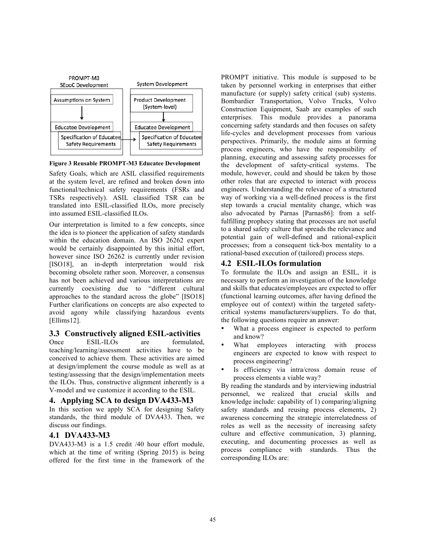

**Figure 3 Reusable PROMPT-M3 Educatee Development**

Safety Goals, which are ASIL classified requirements at the system level, are refined and broken down into functional/technical safety requirements (FSRs and TSRs respectively). ASIL classified TSR can be translated into ESIL-classified ILOs, more precisely into assumed ESIL-classified ILOs.

Our interpretation is limited to a few concepts, since the idea is to pioneer the application of safety standards within the education domain. An ISO 26262 expert would be certainly disappointed by this initial effort, however since ISO 26262 is currently under revision [ISO18], an in-depth interpretation would risk becoming obsolete rather soon. Moreover, a consensus has not been achieved and various interpretations are currently coexisting due to "different cultural approaches to the standard across the globe" [ISO18] Further clarifications on concepts are also expected to avoid agony while classifying hazardous events [Ellims12].

#### **3.3 Constructively aligned ESIL-activities**

Once ESIL-ILOs are formulated, teaching/learning/assessment activities have to be conceived to achieve them. These activities are aimed at design/implement the course module as well as at testing/assessing that the design/implementation meets the ILOs. Thus, constructive alignment inherently is a V-model and we customize it according to the ESIL.

#### **4. Applying SCA to design DVA433-M3**

In this section we apply SCA for designing Safety standards, the third module of DVA433. Then, we discuss our findings.

#### **4.1 DVA433-M3**

DVA433-M3 is a 1.5 credit /40 hour effort module, which at the time of writing (Spring 2015) is being offered for the first time in the framework of the

PROMPT initiative. This module is supposed to be taken by personnel working in enterprises that either manufacture (or supply) safety critical (sub) systems. Bombardier Transportation, Volvo Trucks, Volvo Construction Equipment, Saab are examples of such enterprises. This module provides a panorama concerning safety standards and then focuses on safety life-cycles and development processes from various perspectives. Primarily, the module aims at forming process engineers, who have the responsibility of planning, executing and assessing safety processes for the development of safety-critical systems. The module, however, could and should be taken by those other roles that are expected to interact with process engineers. Understanding the relevance of a structured way of working via a well-defined process is the first step towards a crucial mentality change, which was also advocated by Parnas [Parnas86]: from a selffulfilling prophecy stating that processes are not useful to a shared safety culture that spreads the relevance and potential gain of well-defined and rational-explicit processes; from a consequent tick-box mentality to a rational-based execution of (tailored) process steps.

## **4.2 ESIL-ILOs formulation**

To formulate the ILOs and assign an ESIL, it is necessary to perform an investigation of the knowledge and skills that educates/employees are expected to offer (functional learning outcomes, after having defined the employee out of context) within the targeted safetycritical systems manufacturers/suppliers. To do that, the following questions require an answer:

- What a process engineer is expected to perform and know?
- What employees interacting with process engineers are expected to know with respect to process engineering?
- Is efficiency via intra/cross domain reuse of process elements a viable way?

By reading the standards and by interviewing industrial personnel, we realized that crucial skills and knowledge include: capability of 1) comparing/aligning safety standards and reusing process elements, 2) awareness concerning the strategic interrelatedness of roles as well as the necessity of increasing safety culture and effective communication, 3) planning, executing, and documenting processes as well as process compliance with standards. Thus the corresponding ILOs are: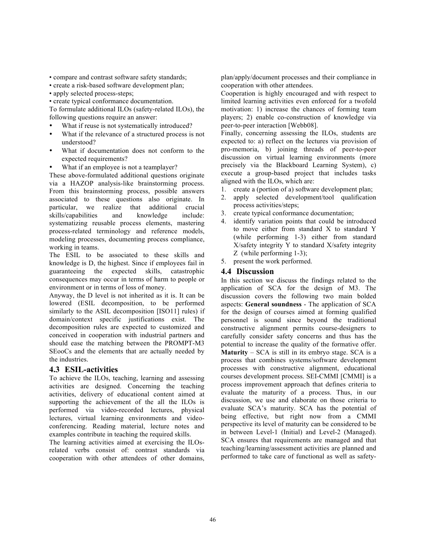• compare and contrast software safety standards;

• create a risk-based software development plan;

- apply selected process-steps;
- create typical conformance documentation.

To formulate additional ILOs (safety-related ILOs), the following questions require an answer:

- What if reuse is not systematically introduced?
- What if the relevance of a structured process is not understood?
- What if documentation does not conform to the expected requirements?
- What if an employee is not a teamplayer?

These above-formulated additional questions originate via a HAZOP analysis-like brainstorming process. From this brainstorming process, possible answers associated to these questions also originate. In particular, we realize that additional crucial skills/capabilities and knowledge include: systematizing reusable process elements, mastering process-related terminology and reference models, modeling processes, documenting process compliance, working in teams.

The ESIL to be associated to these skills and knowledge is D, the highest. Since if employees fail in guaranteeing the expected skills, catastrophic consequences may occur in terms of harm to people or environment or in terms of loss of money.

Anyway, the D level is not inherited as it is. It can be lowered (ESIL decomposition, to be performed similarly to the ASIL decomposition [ISO11] rules) if domain/context specific justifications exist. The decomposition rules are expected to customized and conceived in cooperation with industrial partners and should ease the matching between the PROMPT-M3 SEooCs and the elements that are actually needed by the industries.

#### **4.3 ESIL-activities**

To achieve the ILOs, teaching, learning and assessing activities are designed. Concerning the teaching activities, delivery of educational content aimed at supporting the achievement of the all the ILOs is performed via video-recorded lectures, physical lectures, virtual learning environments and videoconferencing. Reading material, lecture notes and examples contribute in teaching the required skills.

The learning activities aimed at exercising the ILOsrelated verbs consist of: contrast standards via cooperation with other attendees of other domains,

plan/apply/document processes and their compliance in cooperation with other attendees.

Cooperation is highly encouraged and with respect to limited learning activities even enforced for a twofold motivation: 1) increase the chances of forming team players; 2) enable co-construction of knowledge via peer-to-peer interaction [Webb08].

Finally, concerning assessing the ILOs, students are expected to: a) reflect on the lectures via provision of pro-memoria, b) joining threads of peer-to-peer discussion on virtual learning environments (more precisely via the Blackboard Learning System), c) execute a group-based project that includes tasks aligned with the ILOs, which are:

- 1. create a (portion of a) software development plan;
- 2. apply selected development/tool qualification process activities/steps;
- 3. create typical conformance documentation;
- 4. identify variation points that could be introduced to move either from standard X to standard Y (while performing 1-3) either from standard X/safety integrity Y to standard X/safety integrity Z (while performing 1-3);
- 5. present the work performed.

#### **4.4 Discussion**

In this section we discuss the findings related to the application of SCA for the design of M3. The discussion covers the following two main bolded aspects: **General soundness** - The application of SCA for the design of courses aimed at forming qualified personnel is sound since beyond the traditional constructive alignment permits course-designers to carefully consider safety concerns and thus has the potential to increase the quality of the formative offer. **Maturity** – SCA is still in its embryo stage. SCA is a process that combines systems/software development processes with constructive alignment, educational courses development process. SEI-CMMI [CMMI] is a process improvement approach that defines criteria to evaluate the maturity of a process. Thus, in our discussion, we use and elaborate on those criteria to evaluate SCA's maturity. SCA has the potential of being effective, but right now from a CMMI perspective its level of maturity can be considered to be in between Level-1 (Initial) and Level-2 (Managed). SCA ensures that requirements are managed and that teaching/learning/assessment activities are planned and performed to take care of functional as well as safety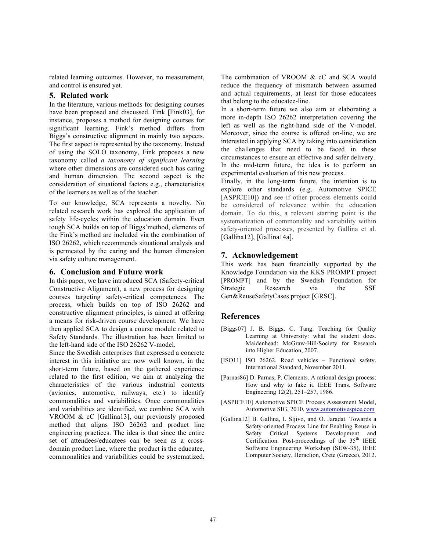related learning outcomes. However, no measurement, and control is ensured yet.

#### **5. Related work**

In the literature, various methods for designing courses have been proposed and discussed. Fink [Fink03], for instance, proposes a method for designing courses for significant learning. Fink's method differs from Biggs's constructive alignment in mainly two aspects. The first aspect is represented by the taxonomy. Instead of using the SOLO taxonomy, Fink proposes a new taxonomy called *a taxonomy of significant learning* where other dimensions are considered such has caring and human dimension. The second aspect is the consideration of situational factors e.g., characteristics of the learners as well as of the teacher.

To our knowledge, SCA represents a novelty. No related research work has explored the application of safety life-cycles within the education domain. Even tough SCA builds on top of Biggs'method, elements of the Fink's method are included via the combination of ISO 26262, which recommends situational analysis and is permeated by the caring and the human dimension via safety culture management.

#### **6. Conclusion and Future work**

In this paper, we have introduced SCA (Safecty-critical Constructive Alignment), a new process for designing courses targeting safety-critical competences. The process, which builds on top of ISO 26262 and constructive alignment principles, is aimed at offering a means for risk-driven course development. We have then applied SCA to design a course module related to Safety Standards. The illustration has been limited to the left-hand side of the ISO 26262 V-model.

Since the Swedish enterprises that expressed a concrete interest in this initiative are now well known, in the short-term future, based on the gathered experience related to the first edition, we aim at analyzing the characteristics of the various industrial contexts (avionics, automotive, railways, etc.) to identify commonalities and variabilities. Once commonalities and variabilities are identified, we combine SCA with VROOM & cC [Gallina13], our previously proposed method that aligns ISO 26262 and product line engineering practices. The idea is that since the entire set of attendees/educatees can be seen as a crossdomain product line, where the product is the educatee, commonalities and variabilities could be systematized.

The combination of VROOM & cC and SCA would reduce the frequency of mismatch between assumed and actual requirements, at least for those educatees that belong to the educatee-line.

In a short-term future we also aim at elaborating a more in-depth ISO 26262 interpretation covering the left as well as the right-hand side of the V-model. Moreover, since the course is offered on-line, we are interested in applying SCA by taking into consideration the challenges that need to be faced in these circumstances to ensure an effective and safer delivery. In the mid-term future, the idea is to perform an experimental evaluation of this new process.

Finally, in the long-term future, the intention is to explore other standards (e.g. Automotive SPICE [ASPICE10]) and see if other process elements could be considered of relevance within the education domain. To do this, a relevant starting point is the systematization of commonality and variability within safety-oriented processes, presented by Gallina et al. [Gallina12], [Gallina14a].

## **7. Acknowledgement**

This work has been financially supported by the Knowledge Foundation via the KKS PROMPT project [PROMPT] and by the Swedish Foundation for Strategic Research via the SSF Gen&ReuseSafetyCases project [GRSC].

# **References**

- [Biggs07] J. B. Biggs, C. Tang. Teaching for Quality Learning at University: what the student does. Maidenhead: McGraw-Hill/Society for Research into Higher Education, 2007.
- [ISO11] ISO 26262. Road vehicles Functional safety. International Standard, November 2011.
- [Parnas86] D. Parnas, P. Clements. A rational design process: How and why to fake it. IEEE Trans. Software Engineering 12(2), 251–257, 1986.
- [ASPICE10] Automotive SPICE Process Assessment Model, Automotive SIG, 2010, www.automotivespice.com
- [Gallina12] B. Gallina, I. Sljivo, and O. Jaradat. Towards a Safety-oriented Process Line for Enabling Reuse in Safety Critical Systems Development and Certification. Post-proceedings of the 35<sup>th</sup> IEEE Software Engineering Workshop (SEW-35), IEEE Computer Society, Heraclion, Crete (Greece), 2012.